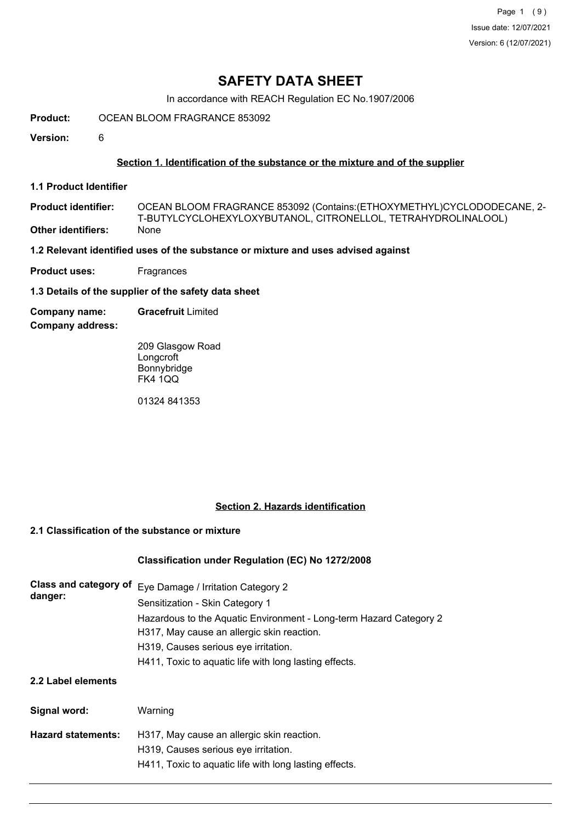Page 1 (9) Issue date: 12/07/2021 Version: 6 (12/07/2021)

## **SAFETY DATA SHEET**

In accordance with REACH Regulation EC No.1907/2006

**Product:** OCEAN BLOOM FRAGRANCE 853092

**Version:** 6

## **Section 1. Identification of the substance or the mixture and of the supplier**

**1.1 Product Identifier**

OCEAN BLOOM FRAGRANCE 853092 (Contains:(ETHOXYMETHYL)CYCLODODECANE, 2- T-BUTYLCYCLOHEXYLOXYBUTANOL, CITRONELLOL, TETRAHYDROLINALOOL) **Product identifier: Other identifiers:** 

**1.2 Relevant identified uses of the substance or mixture and uses advised against**

**Product uses:** Fragrances

**1.3 Details of the supplier of the safety data sheet**

**Company name: Gracefruit** Limited

**Company address:**

209 Glasgow Road **Longcroft** Bonnybridge FK4 1QQ

01324 841353

## **Section 2. Hazards identification**

## **2.1 Classification of the substance or mixture**

## **Classification under Regulation (EC) No 1272/2008**

| Class and category of<br>danger: | Eye Damage / Irritation Category 2<br>Sensitization - Skin Category 1<br>Hazardous to the Aquatic Environment - Long-term Hazard Category 2<br>H317, May cause an allergic skin reaction.<br>H319, Causes serious eye irritation.<br>H411, Toxic to aquatic life with long lasting effects. |
|----------------------------------|---------------------------------------------------------------------------------------------------------------------------------------------------------------------------------------------------------------------------------------------------------------------------------------------|
| 2.2 Label elements               |                                                                                                                                                                                                                                                                                             |
| Signal word:                     | Warning                                                                                                                                                                                                                                                                                     |
| <b>Hazard statements:</b>        | H317, May cause an allergic skin reaction.<br>H319, Causes serious eye irritation.                                                                                                                                                                                                          |
|                                  | H411, Toxic to aquatic life with long lasting effects.                                                                                                                                                                                                                                      |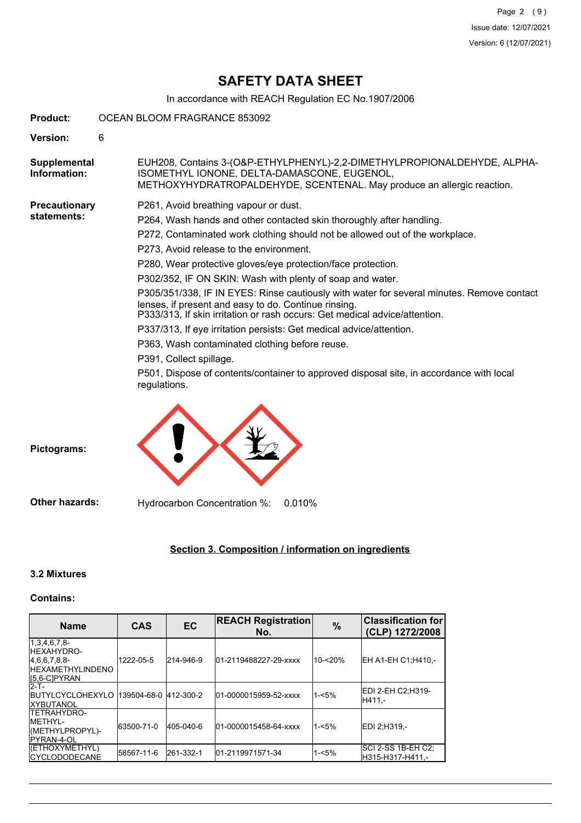# **SAFETY DATA SHEET**

In accordance with REACH Regulation EC No.1907/2006

| Product:                     | OCEAN BLOOM FRAGRANCE 853092 |                                                                                                                                                                                                                                                                                                                                                                                                                                                                                                                                                                                                                                                                                                                                                                                                                                                                         |
|------------------------------|------------------------------|-------------------------------------------------------------------------------------------------------------------------------------------------------------------------------------------------------------------------------------------------------------------------------------------------------------------------------------------------------------------------------------------------------------------------------------------------------------------------------------------------------------------------------------------------------------------------------------------------------------------------------------------------------------------------------------------------------------------------------------------------------------------------------------------------------------------------------------------------------------------------|
| Version:                     | 6                            |                                                                                                                                                                                                                                                                                                                                                                                                                                                                                                                                                                                                                                                                                                                                                                                                                                                                         |
| Supplemental<br>Information: |                              | EUH208, Contains 3-(O&P-ETHYLPHENYL)-2,2-DIMETHYLPROPIONALDEHYDE, ALPHA-<br>ISOMETHYL IONONE, DELTA-DAMASCONE, EUGENOL,<br>METHOXYHYDRATROPALDEHYDE, SCENTENAL. May produce an allergic reaction.                                                                                                                                                                                                                                                                                                                                                                                                                                                                                                                                                                                                                                                                       |
| Precautionary<br>statements: |                              | P261, Avoid breathing vapour or dust.<br>P264, Wash hands and other contacted skin thoroughly after handling.<br>P272, Contaminated work clothing should not be allowed out of the workplace.<br>P273, Avoid release to the environment.<br>P280, Wear protective gloves/eye protection/face protection.<br>P302/352, IF ON SKIN: Wash with plenty of soap and water.<br>P305/351/338, IF IN EYES: Rinse cautiously with water for several minutes. Remove contact<br>lenses, if present and easy to do. Continue rinsing.<br>P333/313, If skin irritation or rash occurs: Get medical advice/attention.<br>P337/313, If eye irritation persists: Get medical advice/attention.<br>P363, Wash contaminated clothing before reuse.<br>P391, Collect spillage.<br>P501, Dispose of contents/container to approved disposal site, in accordance with local<br>regulations. |

**Pictograms:**

**Other hazards:** Hydrocarbon Concentration %: 0.010%

## **Section 3. Composition / information on ingredients**

## **3.2 Mixtures**

## **Contains:**

| <b>Name</b>                                                                                        | <b>CAS</b> | EC        | <b>REACH Registration</b><br>No. | $\frac{9}{6}$ | <b>Classification for</b><br>(CLP) 1272/2008 |
|----------------------------------------------------------------------------------------------------|------------|-----------|----------------------------------|---------------|----------------------------------------------|
| $1,3,4,6,7,8$ -<br><b>IHEXAHYDRO-</b><br>4.6.6.7.8.8-<br><b>IHEXAMETHYLINDENO</b><br>I[5,6-C]PYRAN | 1222-05-5  | 214-946-9 | 01-2119488227-29-xxxx            | 10-<20%       | EH A1-EH C1:H410.-                           |
| $2-T$ -<br><b>IBUTYLCYCLOHEXYLO 139504-68-0 412-300-2</b><br><b>IXYBUTANOL</b>                     |            |           | 01-0000015959-52-xxxx            | $1 - 5%$      | EDI 2-EH C2:H319-<br>H411.-                  |
| <b>ITETRAHYDRO-</b><br><b>IMETHYL-</b><br>(METHYLPROPYL)-<br><b>IPYRAN-4-OL</b>                    | 63500-71-0 | 405-040-6 | 01-0000015458-64-xxxx            | $1 - 5%$      | EDI 2:H319.-                                 |
| (ETHOXYMETHYL)<br><b>ICYCLODODECANE</b>                                                            | 58567-11-6 | 261-332-1 | 01-2119971571-34                 | $1 - 5%$      | ISCI 2-SS 1B-EH C2:<br>lH315-H317-H411.-     |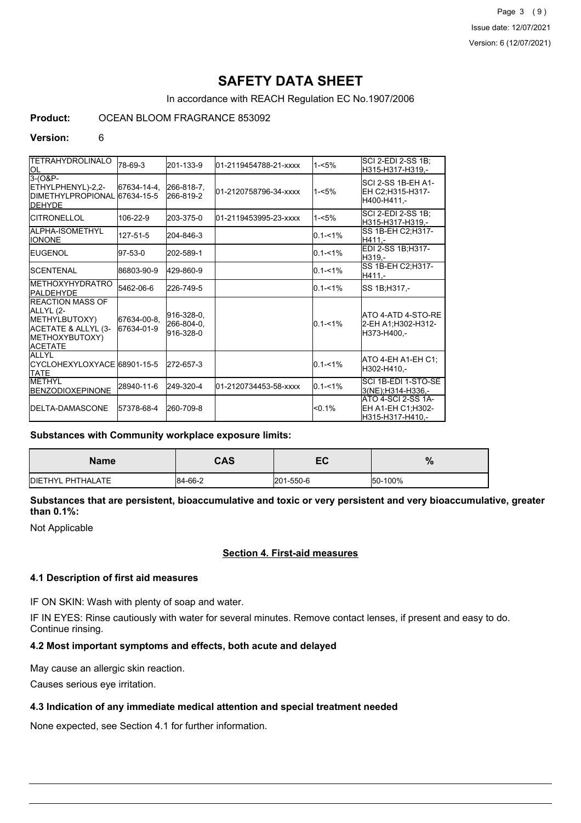Page 3 (9) Issue date: 12/07/2021 Version: 6 (12/07/2021)

# **SAFETY DATA SHEET**

In accordance with REACH Regulation EC No.1907/2006

## **Product:** OCEAN BLOOM FRAGRANCE 853092

#### **Version:** 6

| <b>TETRAHYDROLINALO</b>                                                                                           |                           |                                       |                       |             | SCI 2-EDI 2-SS 1B;                                           |
|-------------------------------------------------------------------------------------------------------------------|---------------------------|---------------------------------------|-----------------------|-------------|--------------------------------------------------------------|
| ЮL                                                                                                                | 78-69-3                   | 201-133-9                             | 01-2119454788-21-xxxx | $1 - 5%$    | H315-H317-H319.-                                             |
| $3-(0&P-$<br>ETHYLPHENYL)-2,2-<br>DIMETHYLPROPIONAL 67634-15-5<br><b>DEHYDE</b>                                   | 67634-14-4.               | 266-818-7.<br>266-819-2               | 01-2120758796-34-xxxx | $1 - 5%$    | ISCI 2-SS 1B-EH A1-<br>EH C2;H315-H317-<br>H400-H411.-       |
| <b>ICITRONELLOL</b>                                                                                               | 106-22-9                  | 203-375-0                             | 01-2119453995-23-xxxx | $1 - 5%$    | SCI 2-EDI 2-SS 1B:<br>H315-H317-H319.-                       |
| ALPHA-ISOMETHYL<br><b>IONONE</b>                                                                                  | 127-51-5                  | 204-846-3                             |                       | $0.1 - 1\%$ | SS 1B-EH C2;H317-<br>H411 -                                  |
| <b>IEUGENOL</b>                                                                                                   | 97-53-0                   | 202-589-1                             |                       | $0.1 - 1\%$ | EDI 2-SS 1B;H317-<br>H319.-                                  |
| <b>ISCENTENAL</b>                                                                                                 | 86803-90-9                | 429-860-9                             |                       | $0.1 - 1%$  | SS 1B-EH C2; H317-<br>H411.-                                 |
| <b>IMETHOXYHYDRATRO</b><br><b>IPALDEHYDE</b>                                                                      | 5462-06-6                 | 226-749-5                             |                       | $0.1 - 1\%$ | SS 1B:H317.-                                                 |
| <b>IREACTION MASS OF</b><br>ALLYL (2-<br>METHYLBUTOXY)<br>ACETATE & ALLYL (3-<br>METHOXYBUTOXY)<br><b>ACETATE</b> | 67634-00-8.<br>67634-01-9 | 916-328-0,<br>266-804-0,<br>916-328-0 |                       | $0.1 - 1\%$ | ATO 4-ATD 4-STO-RE<br>2-EH A1:H302-H312-<br>H373-H400.-      |
| <b>ALLYL</b><br>ICYCLOHEXYLOXYACE 68901-15-5<br><b>TATE</b>                                                       |                           | 272-657-3                             |                       | $0.1 - 1\%$ | ATO 4-EH A1-EH C1;<br>H302-H410,-                            |
| <b>IMETHYL</b><br><b>BENZODIOXEPINONE</b>                                                                         | 28940-11-6                | 249-320-4                             | 01-2120734453-58-xxxx | $0.1 - 1\%$ | SCI 1B-EDI 1-STO-SE<br>3(NE):H314-H336.-                     |
| <b>IDELTA-DAMASCONE</b>                                                                                           | 57378-68-4                | 260-709-8                             |                       | < 0.1%      | IATO 4-SCI 2-SS 1A-<br>EH A1-EH C1:H302-<br>H315-H317-H410,- |

#### **Substances with Community workplace exposure limits:**

| <b>Name</b>       | <b>CAS</b> | <b>re</b><br>┖ | $\mathbf{o}$<br>$\sqrt{2}$ |
|-------------------|------------|----------------|----------------------------|
| DIETHYL PHTHALATE | 84-66-2    | 201-550-6      | 50-100%                    |

## **Substances that are persistent, bioaccumulative and toxic or very persistent and very bioaccumulative, greater than 0.1%:**

Not Applicable

## **Section 4. First-aid measures**

#### **4.1 Description of first aid measures**

IF ON SKIN: Wash with plenty of soap and water.

IF IN EYES: Rinse cautiously with water for several minutes. Remove contact lenses, if present and easy to do. Continue rinsing.

## **4.2 Most important symptoms and effects, both acute and delayed**

May cause an allergic skin reaction.

Causes serious eye irritation.

## **4.3 Indication of any immediate medical attention and special treatment needed**

None expected, see Section 4.1 for further information.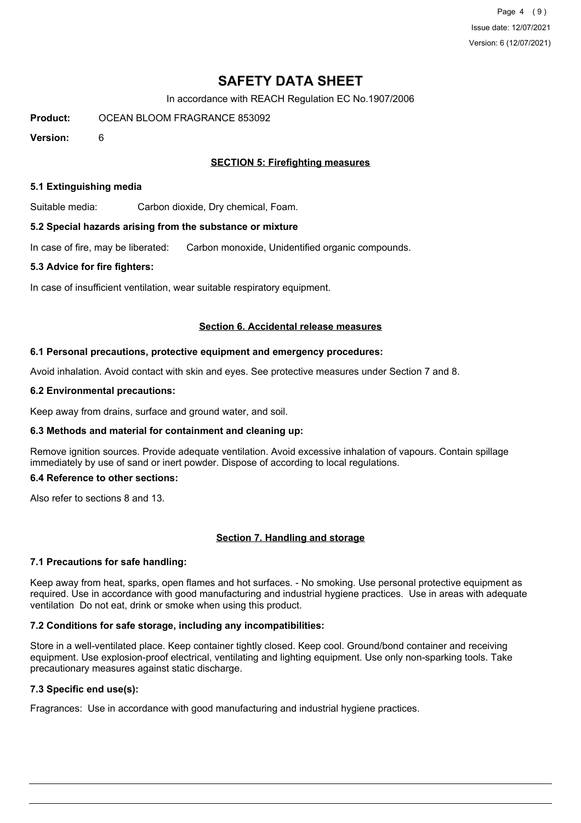Page 4 (9) Issue date: 12/07/2021 Version: 6 (12/07/2021)

## **SAFETY DATA SHEET**

In accordance with REACH Regulation EC No.1907/2006

**Product:** OCEAN BLOOM FRAGRANCE 853092

**Version:** 6

## **SECTION 5: Firefighting measures**

#### **5.1 Extinguishing media**

Suitable media: Carbon dioxide, Dry chemical, Foam.

#### **5.2 Special hazards arising from the substance or mixture**

In case of fire, may be liberated: Carbon monoxide, Unidentified organic compounds.

#### **5.3 Advice for fire fighters:**

In case of insufficient ventilation, wear suitable respiratory equipment.

#### **Section 6. Accidental release measures**

#### **6.1 Personal precautions, protective equipment and emergency procedures:**

Avoid inhalation. Avoid contact with skin and eyes. See protective measures under Section 7 and 8.

#### **6.2 Environmental precautions:**

Keep away from drains, surface and ground water, and soil.

## **6.3 Methods and material for containment and cleaning up:**

Remove ignition sources. Provide adequate ventilation. Avoid excessive inhalation of vapours. Contain spillage immediately by use of sand or inert powder. Dispose of according to local regulations.

## **6.4 Reference to other sections:**

Also refer to sections 8 and 13.

## **Section 7. Handling and storage**

## **7.1 Precautions for safe handling:**

Keep away from heat, sparks, open flames and hot surfaces. - No smoking. Use personal protective equipment as required. Use in accordance with good manufacturing and industrial hygiene practices. Use in areas with adequate ventilation Do not eat, drink or smoke when using this product.

## **7.2 Conditions for safe storage, including any incompatibilities:**

Store in a well-ventilated place. Keep container tightly closed. Keep cool. Ground/bond container and receiving equipment. Use explosion-proof electrical, ventilating and lighting equipment. Use only non-sparking tools. Take precautionary measures against static discharge.

## **7.3 Specific end use(s):**

Fragrances: Use in accordance with good manufacturing and industrial hygiene practices.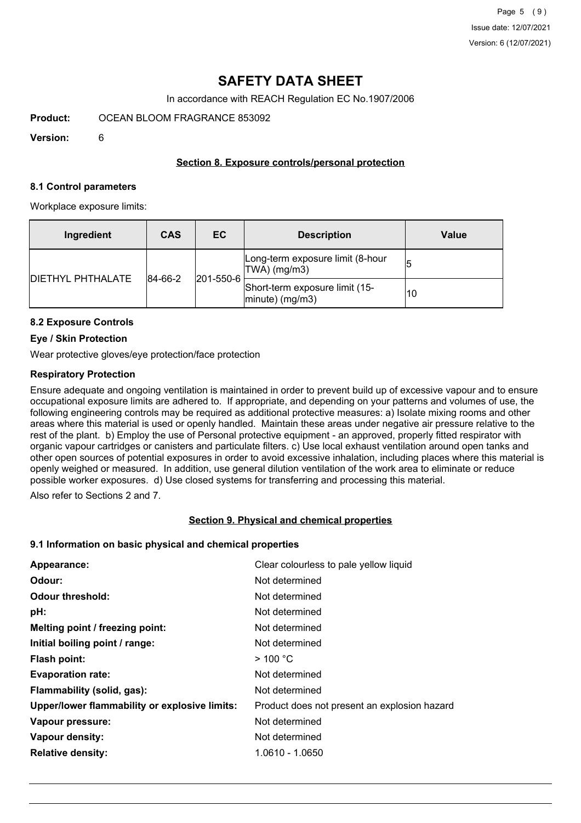## **SAFETY DATA SHEET**

In accordance with REACH Regulation EC No.1907/2006

**Product:** OCEAN BLOOM FRAGRANCE 853092

**Version:** 6

## **Section 8. Exposure controls/personal protection**

#### **8.1 Control parameters**

Workplace exposure limits:

| Ingredient               | <b>CAS</b>                       | EC.                                                      | <b>Description</b>                               | <b>Value</b> |
|--------------------------|----------------------------------|----------------------------------------------------------|--------------------------------------------------|--------------|
| <b>DIETHYL PHTHALATE</b> | $ 201 - 550 - 6 $<br>$ 84-66-2 $ |                                                          | Long-term exposure limit (8-hour<br>TWA) (mg/m3) |              |
|                          |                                  | Short-term exposure limit (15-<br>$ $ minute $ $ (mg/m3) | 10                                               |              |

## **8.2 Exposure Controls**

## **Eye / Skin Protection**

Wear protective gloves/eye protection/face protection

## **Respiratory Protection**

Ensure adequate and ongoing ventilation is maintained in order to prevent build up of excessive vapour and to ensure occupational exposure limits are adhered to. If appropriate, and depending on your patterns and volumes of use, the following engineering controls may be required as additional protective measures: a) Isolate mixing rooms and other areas where this material is used or openly handled. Maintain these areas under negative air pressure relative to the rest of the plant. b) Employ the use of Personal protective equipment - an approved, properly fitted respirator with organic vapour cartridges or canisters and particulate filters. c) Use local exhaust ventilation around open tanks and other open sources of potential exposures in order to avoid excessive inhalation, including places where this material is openly weighed or measured. In addition, use general dilution ventilation of the work area to eliminate or reduce possible worker exposures. d) Use closed systems for transferring and processing this material.

Also refer to Sections 2 and 7.

## **Section 9. Physical and chemical properties**

## **9.1 Information on basic physical and chemical properties**

| Appearance:                                   | Clear colourless to pale yellow liquid       |
|-----------------------------------------------|----------------------------------------------|
| Odour:                                        | Not determined                               |
| <b>Odour threshold:</b>                       | Not determined                               |
| pH:                                           | Not determined                               |
| Melting point / freezing point:               | Not determined                               |
| Initial boiling point / range:                | Not determined                               |
| Flash point:                                  | $>$ 100 °C                                   |
| <b>Evaporation rate:</b>                      | Not determined                               |
| Flammability (solid, gas):                    | Not determined                               |
| Upper/lower flammability or explosive limits: | Product does not present an explosion hazard |
| Vapour pressure:                              | Not determined                               |
| Vapour density:                               | Not determined                               |
| <b>Relative density:</b>                      | 1.0610 - 1.0650                              |
|                                               |                                              |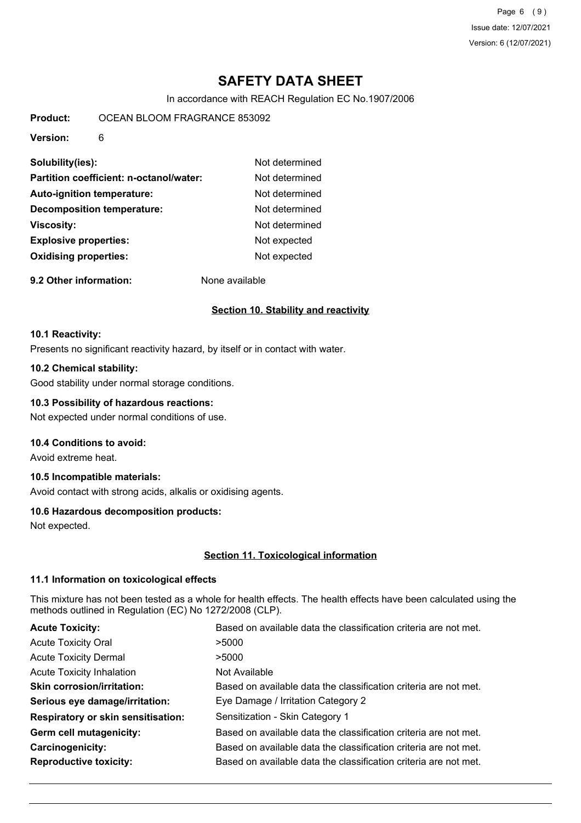Page 6 (9) Issue date: 12/07/2021 Version: 6 (12/07/2021)

# **SAFETY DATA SHEET**

In accordance with REACH Regulation EC No.1907/2006

**Product:** OCEAN BLOOM FRAGRANCE 853092

**Version:** 6

| Solubility(ies):                        | Not determined |
|-----------------------------------------|----------------|
| Partition coefficient: n-octanol/water: | Not determined |
| <b>Auto-ignition temperature:</b>       | Not determined |
| <b>Decomposition temperature:</b>       | Not determined |
| <b>Viscosity:</b>                       | Not determined |
| <b>Explosive properties:</b>            | Not expected   |
| <b>Oxidising properties:</b>            | Not expected   |
|                                         |                |

**9.2 Other information:** None available

## **Section 10. Stability and reactivity**

#### **10.1 Reactivity:**

Presents no significant reactivity hazard, by itself or in contact with water.

## **10.2 Chemical stability:**

Good stability under normal storage conditions.

## **10.3 Possibility of hazardous reactions:**

Not expected under normal conditions of use.

## **10.4 Conditions to avoid:**

Avoid extreme heat.

## **10.5 Incompatible materials:**

Avoid contact with strong acids, alkalis or oxidising agents.

## **10.6 Hazardous decomposition products:**

Not expected.

## **Section 11. Toxicological information**

## **11.1 Information on toxicological effects**

This mixture has not been tested as a whole for health effects. The health effects have been calculated using the methods outlined in Regulation (EC) No 1272/2008 (CLP).

| <b>Acute Toxicity:</b>                    | Based on available data the classification criteria are not met. |
|-------------------------------------------|------------------------------------------------------------------|
| <b>Acute Toxicity Oral</b>                | >5000                                                            |
| <b>Acute Toxicity Dermal</b>              | >5000                                                            |
| <b>Acute Toxicity Inhalation</b>          | Not Available                                                    |
| <b>Skin corrosion/irritation:</b>         | Based on available data the classification criteria are not met. |
| Serious eye damage/irritation:            | Eye Damage / Irritation Category 2                               |
| <b>Respiratory or skin sensitisation:</b> | Sensitization - Skin Category 1                                  |
| Germ cell mutagenicity:                   | Based on available data the classification criteria are not met. |
| Carcinogenicity:                          | Based on available data the classification criteria are not met. |
| <b>Reproductive toxicity:</b>             | Based on available data the classification criteria are not met. |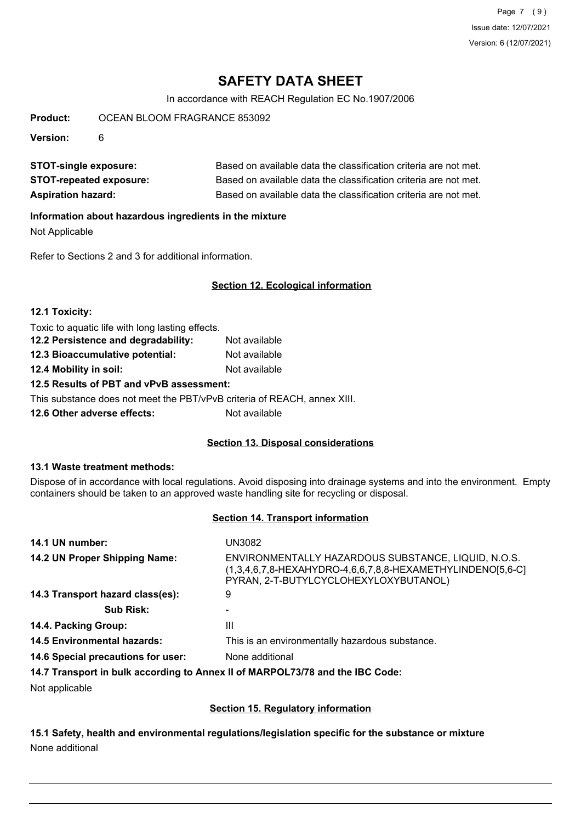Page 7 (9) Issue date: 12/07/2021 Version: 6 (12/07/2021)

## **SAFETY DATA SHEET**

In accordance with REACH Regulation EC No.1907/2006

**Product:** OCEAN BLOOM FRAGRANCE 853092

**Version:** 6

**STOT-single exposure:** Based on available data the classification criteria are not met. **STOT-repeated exposure:** Based on available data the classification criteria are not met. **Aspiration hazard:** Based on available data the classification criteria are not met.

## **Information about hazardous ingredients in the mixture**

Not Applicable

Refer to Sections 2 and 3 for additional information.

## **Section 12. Ecological information**

| 12.1 Toxicity:                                   |               |
|--------------------------------------------------|---------------|
| Toxic to aquatic life with long lasting effects. |               |
| 12.2 Persistence and degradability:              | Not available |
| 12.3 Bioaccumulative potential:                  | Not available |
| 12.4 Mobility in soil:                           | Not available |
| 12.5 Results of PBT and vPvB assessment:         |               |

This substance does not meet the PBT/vPvB criteria of REACH, annex XIII.

**12.6 Other adverse effects:** Not available

## **Section 13. Disposal considerations**

## **13.1 Waste treatment methods:**

Dispose of in accordance with local regulations. Avoid disposing into drainage systems and into the environment. Empty containers should be taken to an approved waste handling site for recycling or disposal.

## **Section 14. Transport information**

| 14.1 UN number:                    | UN3082                                                                                                                                                     |
|------------------------------------|------------------------------------------------------------------------------------------------------------------------------------------------------------|
| 14.2 UN Proper Shipping Name:      | ENVIRONMENTALLY HAZARDOUS SUBSTANCE, LIQUID, N.O.S.<br>(1,3,4,6,7,8-HEXAHYDRO-4,6,6,7,8,8-HEXAMETHYLINDENO[5,6-C]<br>PYRAN, 2-T-BUTYLCYCLOHEXYLOXYBUTANOL) |
| 14.3 Transport hazard class(es):   | 9                                                                                                                                                          |
| <b>Sub Risk:</b>                   |                                                                                                                                                            |
| 14.4. Packing Group:               | Ш                                                                                                                                                          |
| <b>14.5 Environmental hazards:</b> | This is an environmentally hazardous substance.                                                                                                            |
| 14.6 Special precautions for user: | None additional                                                                                                                                            |
|                                    | 14.7 Transport in bulk according to Annex II of MARPOL73/78 and the IBC Code:                                                                              |

Not applicable

## **Section 15. Regulatory information**

**15.1 Safety, health and environmental regulations/legislation specific for the substance or mixture** None additional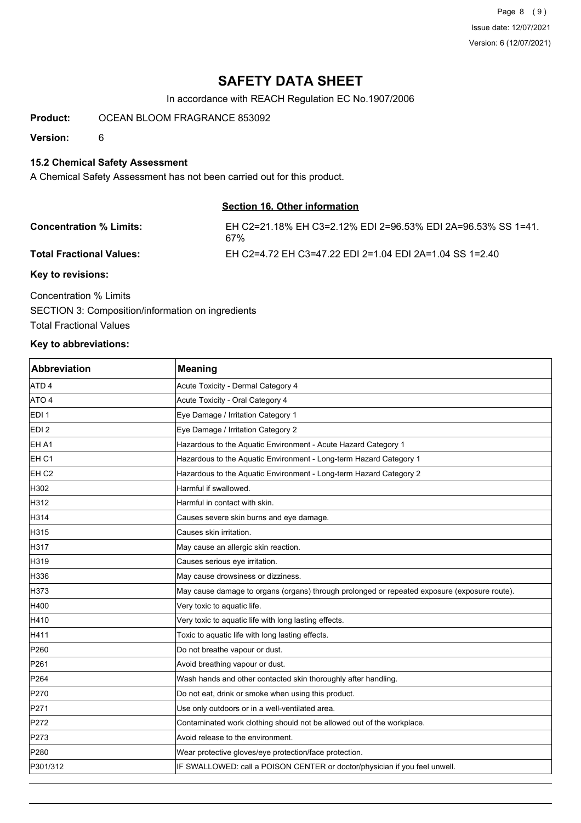Page 8 (9) Issue date: 12/07/2021 Version: 6 (12/07/2021)

## **SAFETY DATA SHEET**

In accordance with REACH Regulation EC No.1907/2006

**Product:** OCEAN BLOOM FRAGRANCE 853092

**Version:** 6

## **15.2 Chemical Safety Assessment**

A Chemical Safety Assessment has not been carried out for this product.

#### **Section 16. Other information**

| <b>Concentration % Limits:</b>  | EH C2=21.18% EH C3=2.12% EDI 2=96.53% EDI 2A=96.53% SS 1=41.<br>67% |
|---------------------------------|---------------------------------------------------------------------|
| <b>Total Fractional Values:</b> | EH C2=4.72 EH C3=47.22 EDI 2=1.04 EDI 2A=1.04 SS 1=2.40             |
| Key to revisions:               |                                                                     |

Concentration % Limits SECTION 3: Composition/information on ingredients Total Fractional Values

## **Key to abbreviations:**

| <b>Abbreviation</b> | <b>Meaning</b>                                                                               |
|---------------------|----------------------------------------------------------------------------------------------|
| ATD <sub>4</sub>    | Acute Toxicity - Dermal Category 4                                                           |
| ATO 4               | Acute Toxicity - Oral Category 4                                                             |
| EDI <sub>1</sub>    | Eye Damage / Irritation Category 1                                                           |
| EDI <sub>2</sub>    | Eye Damage / Irritation Category 2                                                           |
| EH A1               | Hazardous to the Aquatic Environment - Acute Hazard Category 1                               |
| EH <sub>C1</sub>    | Hazardous to the Aquatic Environment - Long-term Hazard Category 1                           |
| EH C <sub>2</sub>   | Hazardous to the Aquatic Environment - Long-term Hazard Category 2                           |
| H302                | Harmful if swallowed.                                                                        |
| H312                | Harmful in contact with skin.                                                                |
| H314                | Causes severe skin burns and eye damage.                                                     |
| H315                | Causes skin irritation.                                                                      |
| H317                | May cause an allergic skin reaction.                                                         |
| H319                | Causes serious eye irritation.                                                               |
| H336                | May cause drowsiness or dizziness.                                                           |
| H373                | May cause damage to organs (organs) through prolonged or repeated exposure (exposure route). |
| H400                | Very toxic to aquatic life.                                                                  |
| H410                | Very toxic to aquatic life with long lasting effects.                                        |
| H411                | Toxic to aquatic life with long lasting effects.                                             |
| P260                | Do not breathe vapour or dust.                                                               |
| P261                | Avoid breathing vapour or dust.                                                              |
| P <sub>264</sub>    | Wash hands and other contacted skin thoroughly after handling.                               |
| P270                | Do not eat, drink or smoke when using this product.                                          |
| P271                | Use only outdoors or in a well-ventilated area.                                              |
| P272                | Contaminated work clothing should not be allowed out of the workplace.                       |
| P273                | Avoid release to the environment.                                                            |
| P280                | Wear protective gloves/eye protection/face protection.                                       |
| P301/312            | IF SWALLOWED: call a POISON CENTER or doctor/physician if you feel unwell.                   |